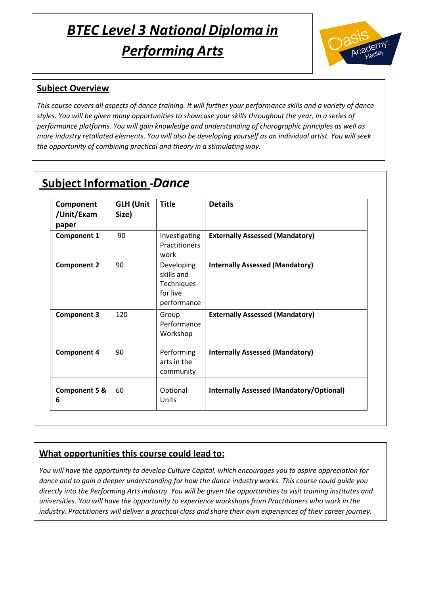# [Type her *BT*e]*EC Level 3 National Diploma in Performing Arts*



## **Subject Overview**

*This course covers all aspects of dance training. It will further your performance skills and a variety of dance styles. You will be given many opportunities to showcase your skills throughout the year, in a series of performance platforms. You will gain knowledge and understanding of chorographic principles as well as more industry retaliated elements. You will also be developing yourself as an individual artist. You will seek the opportunity of combining practical and theory in a stimulating way.*

# **Subject Information -***Dance*

| Component<br>/Unit/Exam<br>paper | <b>GLH (Unit</b><br>Size) | <b>Title</b>                                                      | <b>Details</b>                                  |
|----------------------------------|---------------------------|-------------------------------------------------------------------|-------------------------------------------------|
| <b>Component 1</b>               | 90                        | Investigating<br><b>Practitioners</b><br>work                     | <b>Externally Assessed (Mandatory)</b>          |
| <b>Component 2</b>               | 90                        | Developing<br>skills and<br>Techniques<br>for live<br>performance | <b>Internally Assessed (Mandatory)</b>          |
| <b>Component 3</b>               | 120                       | Group<br>Performance<br>Workshop                                  | <b>Externally Assessed (Mandatory)</b>          |
| <b>Component 4</b>               | 90                        | Performing<br>arts in the<br>community                            | <b>Internally Assessed (Mandatory)</b>          |
| <b>Component 5 &amp;</b><br>6    | 60                        | Optional<br>Units                                                 | <b>Internally Assessed (Mandatory/Optional)</b> |

#### **What opportunities this course could lead to:**

*You will have the opportunity to develop Culture Capital, which encourages you to aspire appreciation for dance and to gain a deeper understanding for how the dance industry works. This course could guide you directly into the Performing Arts industry. You will be given the opportunities to visit training institutes and universities. You will have the opportunity to experience workshops from Practitioners who work in the industry. Practitioners will deliver a practical class and share their own experiences of their career journey.*